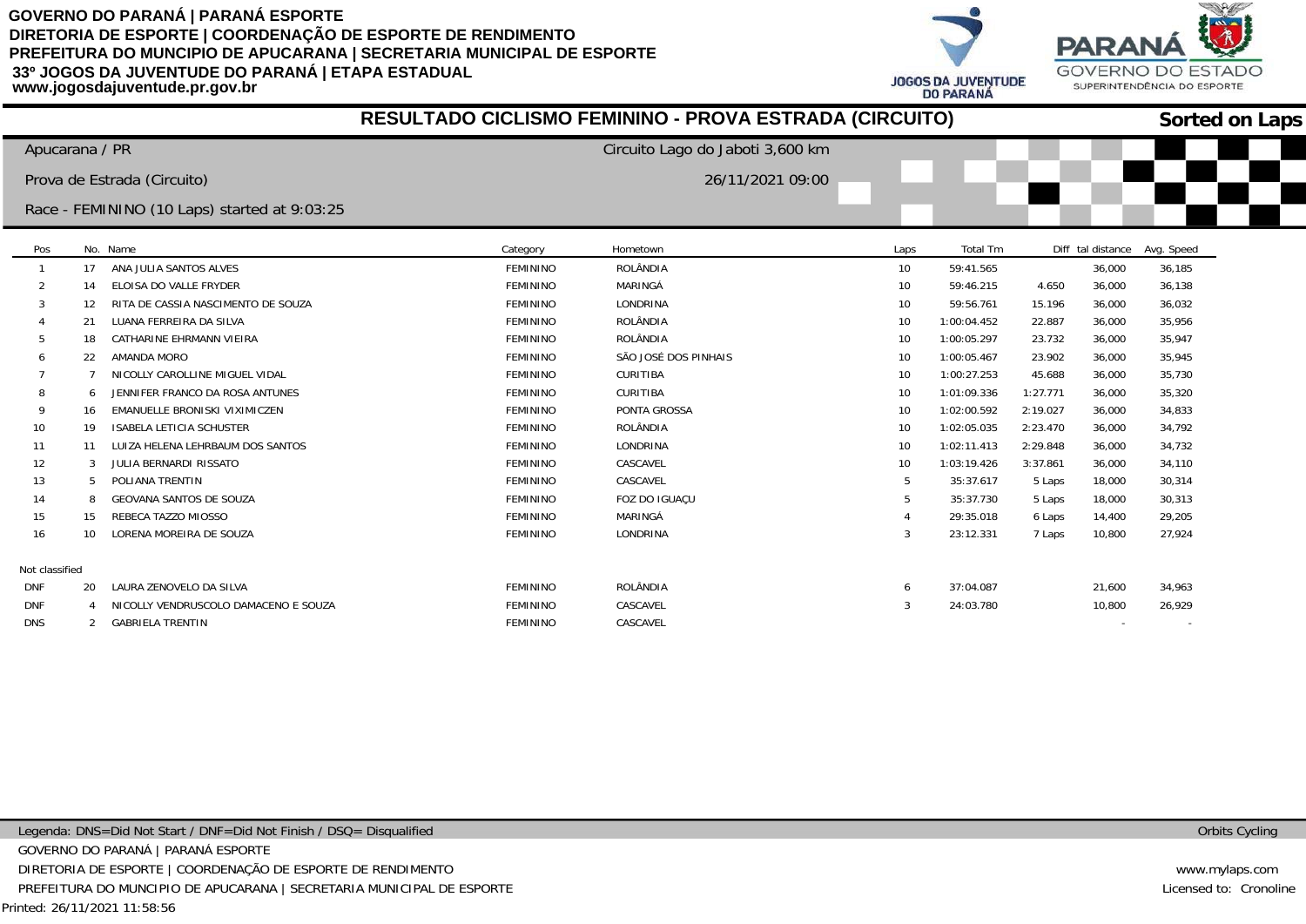**JOGOS DA JUVENTUDE DO PARANÁ** 



|                |              |                                              |                 | RESULTADO CICLISMO FEMININO - PROVA ESTRADA (CIRCUITO) |              |             |          |                   |            | <b>Sorted on Laps</b> |
|----------------|--------------|----------------------------------------------|-----------------|--------------------------------------------------------|--------------|-------------|----------|-------------------|------------|-----------------------|
| Apucarana / PR |              |                                              |                 | Circuito Lago do Jaboti 3,600 km                       |              |             |          |                   |            |                       |
|                |              | Prova de Estrada (Circuito)                  |                 | 26/11/2021 09:00                                       |              |             |          |                   |            |                       |
|                |              | Race - FEMININO (10 Laps) started at 9:03:25 |                 |                                                        |              |             |          |                   |            |                       |
|                |              |                                              |                 |                                                        |              |             |          |                   |            |                       |
| Pos            |              | No. Name                                     | Category        | Hometown                                               | Laps         | Total Tm    |          | Diff tal distance | Avg. Speed |                       |
|                | 17           | ANA JULIA SANTOS ALVES                       | <b>FEMININO</b> | <b>ROLÂNDIA</b>                                        | 10           | 59:41.565   |          | 36,000            | 36,185     |                       |
| 2              | 14           | ELOISA DO VALLE FRYDER                       | <b>FEMININO</b> | MARINGÁ                                                | 10           | 59:46.215   | 4.650    | 36,000            | 36,138     |                       |
|                | 12           | RITA DE CASSIA NASCIMENTO DE SOUZA           | <b>FEMININO</b> | LONDRINA                                               | 10           | 59:56.761   | 15.196   | 36,000            | 36,032     |                       |
|                | 21           | LUANA FERREIRA DA SILVA                      | <b>FEMININO</b> | ROLÂNDIA                                               | 10           | 1:00:04.452 | 22.887   | 36,000            | 35,956     |                       |
|                | 18           | CATHARINE EHRMANN VIEIRA                     | <b>FEMININO</b> | <b>ROLÂNDIA</b>                                        | 10           | 1:00:05.297 | 23.732   | 36,000            | 35,947     |                       |
|                | 22           | AMANDA MORO                                  | <b>FEMININO</b> | SÃO JOSÉ DOS PINHAIS                                   | 10           | 1:00:05.467 | 23.902   | 36,000            | 35,945     |                       |
|                |              | NICOLLY CAROLLINE MIGUEL VIDAL               | <b>FEMININO</b> | <b>CURITIBA</b>                                        | 10           | 1:00:27.253 | 45.688   | 36,000            | 35,730     |                       |
|                | <sub>6</sub> | JENNIFER FRANCO DA ROSA ANTUNES              | <b>FEMININO</b> | CURITIBA                                               | 10           | 1:01:09.336 | 1:27.771 | 36,000            | 35,320     |                       |
|                | 16           | EMANUELLE BRONISKI VIXIMICZEN                | <b>FEMININO</b> | PONTA GROSSA                                           | 10           | 1:02:00.592 | 2:19.027 | 36,000            | 34,833     |                       |
| 10             | 19           | ISABELA LETICIA SCHUSTER                     | <b>FEMININO</b> | ROLÂNDIA                                               | 10           | 1:02:05.035 | 2:23.470 | 36,000            | 34,792     |                       |
| 11             | 11           | LUIZA HELENA LEHRBAUM DOS SANTOS             | <b>FEMININO</b> | LONDRINA                                               | 10           | 1:02:11.413 | 2:29.848 | 36,000            | 34,732     |                       |
| 12             | 3            | JULIA BERNARDI RISSATO                       | <b>FEMININO</b> | CASCAVEL                                               | 10           | 1:03:19.426 | 3:37.861 | 36,000            | 34,110     |                       |
| 13             | 5            | POLIANA TRENTIN                              | <b>FEMININO</b> | CASCAVEL                                               |              | 35:37.617   | 5 Laps   | 18,000            | 30,314     |                       |
| 14             | 8            | <b>GEOVANA SANTOS DE SOUZA</b>               | <b>FEMININO</b> | FOZ DO IGUAÇU                                          |              | 35:37.730   | 5 Laps   | 18,000            | 30,313     |                       |
| 15             | 15           | REBECA TAZZO MIOSSO                          | <b>FEMININO</b> | MARINGÁ                                                |              | 29:35.018   | 6 Laps   | 14,400            | 29,205     |                       |
| 16             | 10           | LORENA MOREIRA DE SOUZA                      | <b>FEMININO</b> | LONDRINA                                               |              | 23:12.331   | 7 Laps   | 10,800            | 27,924     |                       |
| Not classified |              |                                              |                 |                                                        |              |             |          |                   |            |                       |
| <b>DNF</b>     | 20           | LAURA ZENOVELO DA SILVA                      | <b>FEMININO</b> | <b>ROLÂNDIA</b>                                        | <sub>6</sub> | 37:04.087   |          | 21,600            | 34,963     |                       |
| <b>DNF</b>     |              | NICOLLY VENDRUSCOLO DAMACENO E SOUZA         | <b>FEMININO</b> | CASCAVEL                                               |              | 24:03.780   |          | 10,800            | 26,929     |                       |
| <b>DNS</b>     | 2            | <b>GABRIELA TRENTIN</b>                      | <b>FEMININO</b> | CASCAVEL                                               |              |             |          |                   |            |                       |

Orbits Cycling

www.mylaps.com Licensed to: Cronoline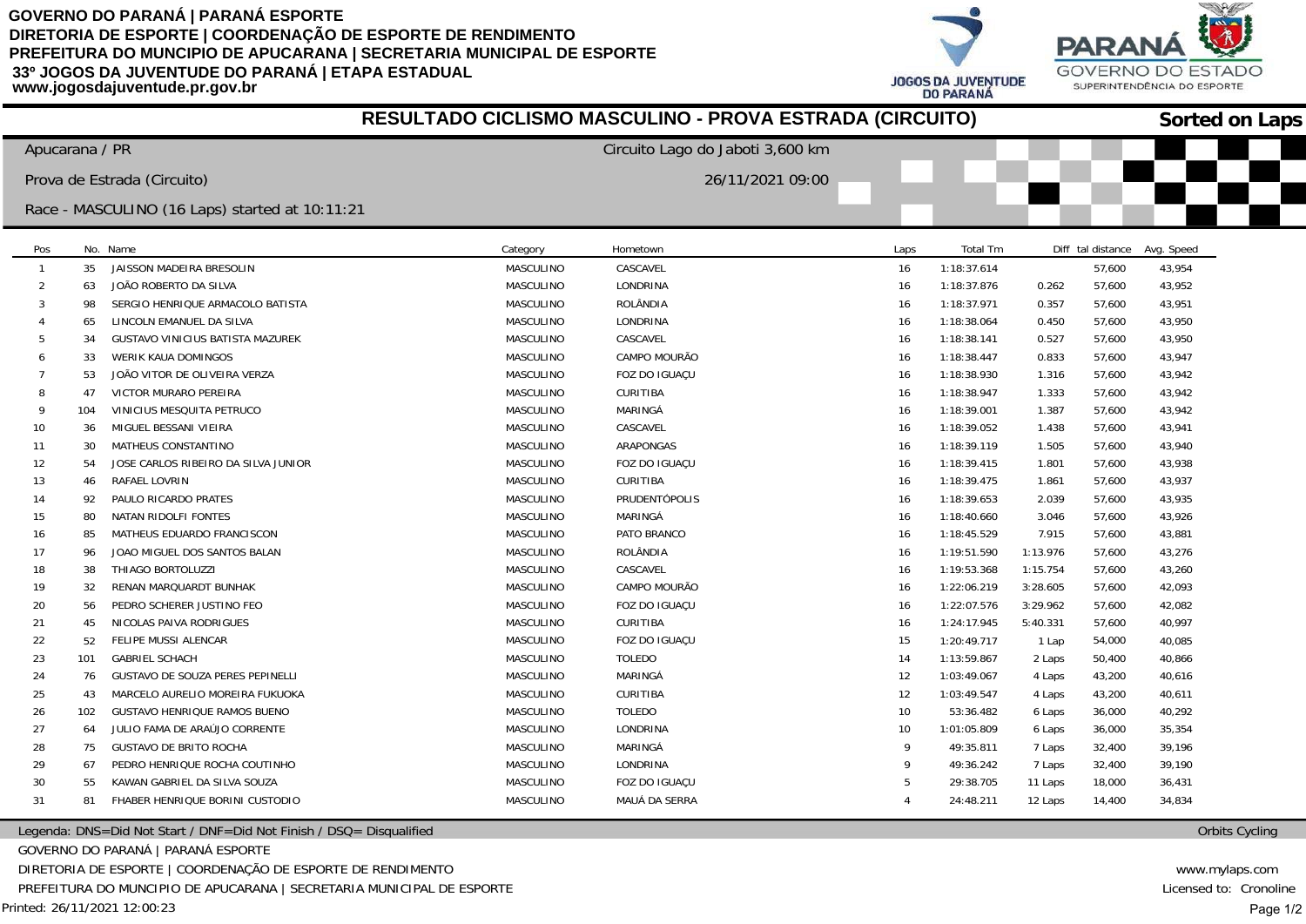**JOGOS DA JUVENTUDE DO PARANÁ** 



| RESULTADO CICLISMO MASCULINO - PROVA ESTRADA (CIRCUITO) |                |                                                |                  |                                  |              |             | <b>Sorted on Laps</b> |                   |            |  |
|---------------------------------------------------------|----------------|------------------------------------------------|------------------|----------------------------------|--------------|-------------|-----------------------|-------------------|------------|--|
|                                                         | Apucarana / PR |                                                |                  | Circuito Lago do Jaboti 3,600 km |              |             |                       |                   |            |  |
|                                                         |                | Prova de Estrada (Circuito)                    |                  | 26/11/2021 09:00                 |              |             |                       |                   |            |  |
|                                                         |                | Race - MASCULINO (16 Laps) started at 10:11:21 |                  |                                  |              |             |                       |                   |            |  |
| Pos                                                     |                | No. Name                                       | Category         | Hometown                         | Laps         | Total Tm    |                       | Diff tal distance | Avg. Speed |  |
| $\mathbf{1}$                                            | 35             | JAISSON MADEIRA BRESOLIN                       | MASCULINO        | CASCAVEL                         | 16           | 1:18:37.614 |                       | 57,600            | 43,954     |  |
| $\overline{2}$                                          | 63             | JOÃO ROBERTO DA SILVA                          | <b>MASCULINO</b> | LONDRINA                         | 16           | 1:18:37.876 | 0.262                 | 57,600            | 43,952     |  |
| -3                                                      | 98             | SERGIO HENRIQUE ARMACOLO BATISTA               | MASCULINO        | ROLÂNDIA                         | 16           | 1:18:37.971 | 0.357                 | 57,600            | 43,951     |  |
|                                                         | 65             | LINCOLN EMANUEL DA SILVA                       | MASCULINO        | LONDRINA                         | -16          | 1:18:38.064 | 0.450                 | 57,600            | 43,950     |  |
| 5                                                       | 34             | <b>GUSTAVO VINICIUS BATISTA MAZUREK</b>        | MASCULINO        | CASCAVEL                         | 16           | 1:18:38.141 | 0.527                 | 57,600            | 43,950     |  |
|                                                         | 33             | WERIK KAUA DOMINGOS                            | MASCULINO        | CAMPO MOURÃO                     | 16           | 1:18:38.447 | 0.833                 | 57,600            | 43,947     |  |
|                                                         | 53             | JOÃO VITOR DE OLIVEIRA VERZA                   | MASCULINO        | FOZ DO IGUAÇU                    | 16           | 1:18:38.930 | 1.316                 | 57,600            | 43,942     |  |
| -8                                                      | 47             | VICTOR MURARO PEREIRA                          | MASCULINO        | <b>CURITIBA</b>                  | 16           | 1:18:38.947 | 1.333                 | 57,600            | 43,942     |  |
| $\mathbf Q$                                             | 104            | VINICIUS MESQUITA PETRUCO                      | MASCULINO        | MARINGÁ                          | 16           | 1:18:39.001 | 1.387                 | 57,600            | 43,942     |  |
| 10                                                      | 36             | MIGUEL BESSANI VIEIRA                          | MASCULINO        | CASCAVEL                         | 16           | 1:18:39.052 | 1.438                 | 57,600            | 43,941     |  |
| 11                                                      | 30             | MATHEUS CONSTANTINO                            | MASCULINO        | ARAPONGAS                        | 16           | 1:18:39.119 | 1.505                 | 57,600            | 43,940     |  |
| 12                                                      | 54             | JOSE CARLOS RIBEIRO DA SILVA JUNIOR            | MASCULINO        | FOZ DO IGUAÇU                    | 16           | 1:18:39.415 | 1.801                 | 57,600            | 43,938     |  |
| 13                                                      | 46             | RAFAEL LOVRIN                                  | MASCULINO        | <b>CURITIBA</b>                  | 16           | 1:18:39.475 | 1.861                 | 57,600            | 43,937     |  |
| 14                                                      | 92             | PAULO RICARDO PRATES                           | MASCULINO        | PRUDENTÓPOLIS                    | 16           | 1:18:39.653 | 2.039                 | 57,600            | 43,935     |  |
| 15                                                      | 80             | NATAN RIDOLFI FONTES                           | MASCULINO        | MARINGÁ                          | 16           | 1:18:40.660 | 3.046                 | 57,600            | 43,926     |  |
| 16                                                      | 85             | MATHEUS EDUARDO FRANCISCON                     | MASCULINO        | PATO BRANCO                      | 16           | 1:18:45.529 | 7.915                 | 57,600            | 43,881     |  |
| 17                                                      | 96             | JOAO MIGUEL DOS SANTOS BALAN                   | MASCULINO        | ROLÂNDIA                         | 16           | 1:19:51.590 | 1:13.976              | 57,600            | 43,276     |  |
| 18                                                      | 38             | THIAGO BORTOLUZZI                              | MASCULINO        | CASCAVEL                         | 16           | 1:19:53.368 | 1:15.754              | 57,600            | 43,260     |  |
| 19                                                      | 32             | RENAN MARQUARDT BUNHAK                         | MASCULINO        | CAMPO MOURÃO                     | 16           | 1:22:06.219 | 3:28.605              | 57,600            | 42,093     |  |
| 20                                                      | 56             | PEDRO SCHERER JUSTINO FEO                      | MASCULINO        | FOZ DO IGUAÇU                    | -16          | 1:22:07.576 | 3:29.962              | 57,600            | 42,082     |  |
| 21                                                      | 45             | NICOLAS PAIVA RODRIGUES                        | MASCULINO        | <b>CURITIBA</b>                  | 16           | 1:24:17.945 | 5:40.331              | 57,600            | 40,997     |  |
| 22                                                      | 52             | FELIPE MUSSI ALENCAR                           | MASCULINO        | FOZ DO IGUAÇU                    | 15           | 1:20:49.717 | 1 Lap                 | 54,000            | 40,085     |  |
| 23                                                      | 101            | <b>GABRIEL SCHACH</b>                          | MASCULINO        | <b>TOLEDO</b>                    | 14           | 1:13:59.867 | 2 Laps                | 50,400            | 40,866     |  |
| 24                                                      | 76             | GUSTAVO DE SOUZA PERES PEPINELLI               | MASCULINO        | MARINGÁ                          | 12           | 1:03:49.067 | 4 Laps                | 43,200            | 40,616     |  |
| 25                                                      | 43             | MARCELO AURELIO MOREIRA FUKUOKA                | MASCULINO        | <b>CURITIBA</b>                  | 12           | 1:03:49.547 | 4 Laps                | 43,200            | 40,611     |  |
| 26                                                      | 102            | <b>GUSTAVO HENRIQUE RAMOS BUENO</b>            | MASCULINO        | <b>TOLEDO</b>                    | 10           | 53:36.482   | 6 Laps                | 36,000            | 40,292     |  |
| 27                                                      | 64             | JULIO FAMA DE ARAÚJO CORRENTE                  | MASCULINO        | LONDRINA                         | 10           | 1:01:05.809 | 6 Laps                | 36,000            | 35,354     |  |
| 28                                                      | 75             | <b>GUSTAVO DE BRITO ROCHA</b>                  | MASCULINO        | MARINGÁ                          | $\mathbf{q}$ | 49:35.811   | 7 Laps                | 32,400            | 39,196     |  |
| 29                                                      | 67             | PEDRO HENRIQUE ROCHA COUTINHO                  | MASCULINO        | LONDRINA                         | 9            | 49:36.242   | 7 Laps                | 32,400            | 39,190     |  |
| 30                                                      | 55             | KAWAN GABRIEL DA SILVA SOUZA                   | MASCULINO        | FOZ DO IGUAÇU                    | 5            | 29:38.705   | 11 Laps               | 18,000            | 36,431     |  |
| 31                                                      | 81             | FHABER HENRIQUE BORINI CUSTODIO                | MASCULINO        | MAUÁ DA SERRA                    |              | 24:48.211   | 12 Laps               | 14,400            | 34,834     |  |

Legenda: DNS=Did Not Start / DNF=Did Not Finish / DSQ= Disqualified

GOVERNO DO PARANÁ | PARANÁ ESPORTE

DIRETORIA DE ESPORTE | COORDENAÇÃO DE ESPORTE DE RENDIMENTO

PREFEITURA DO MUNCIPIO DE APUCARANA | SECRETARIA MUNICIPAL DE ESPORTE

Orbits Cycling

www.mylaps.com Licensed to: Cronoline Page 1/2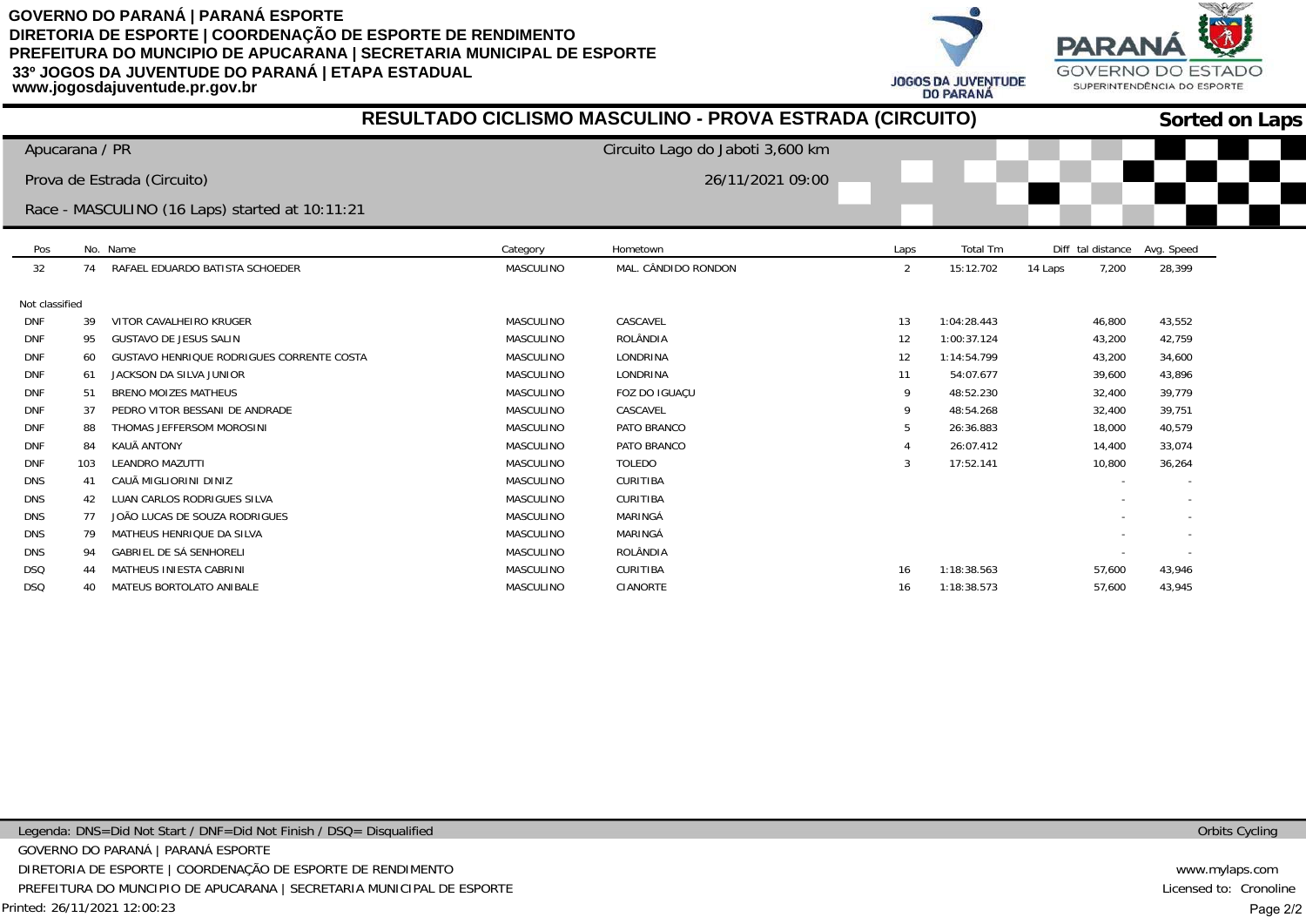**JOGOS DA JUVENTUDE DO PARANA** 



|                |                |                                                  |                  | RESULTADO CICLISMO MASCULINO - PROVA ESTRADA (CIRCUITO) |      |             |                   | <b>Sorted on Laps</b> |
|----------------|----------------|--------------------------------------------------|------------------|---------------------------------------------------------|------|-------------|-------------------|-----------------------|
|                | Apucarana / PR |                                                  |                  | Circuito Lago do Jaboti 3,600 km                        |      |             |                   |                       |
|                |                | Prova de Estrada (Circuito)                      |                  | 26/11/2021 09:00                                        |      |             |                   |                       |
|                |                | Race - MASCULINO (16 Laps) started at 10:11:21   |                  |                                                         |      |             |                   |                       |
| Pos            |                | No. Name                                         | Category         | Hometown                                                | Laps | Total Tm    | Diff tal distance | Avg. Speed            |
| 32             | 74             | RAFAEL EDUARDO BATISTA SCHOEDER                  | MASCULINO        | MAL. CÂNDIDO RONDON                                     | 2    | 15:12.702   | 14 Laps<br>7,200  | 28,399                |
| Not classified |                |                                                  |                  |                                                         |      |             |                   |                       |
| <b>DNF</b>     | 39             | VITOR CAVALHEIRO KRUGER                          | <b>MASCULINO</b> | CASCAVEL                                                | 13   | 1:04:28.443 | 46,800            | 43,552                |
| <b>DNF</b>     | 95             | <b>GUSTAVO DE JESUS SALIN</b>                    | MASCULINO        | ROLÂNDIA                                                | 12   | 1:00:37.124 | 43,200            | 42,759                |
| <b>DNF</b>     | 60             | <b>GUSTAVO HENRIQUE RODRIGUES CORRENTE COSTA</b> | <b>MASCULINO</b> | LONDRINA                                                | 12   | 1:14:54.799 | 43,200            | 34,600                |
| <b>DNF</b>     | 61             | JACKSON DA SILVA JUNIOR                          | <b>MASCULINO</b> | LONDRINA                                                | 11   | 54:07.677   | 39,600            | 43,896                |
| <b>DNF</b>     | 51             | <b>BRENO MOIZES MATHEUS</b>                      | MASCULINO        | FOZ DO IGUAÇU                                           | 9    | 48:52.230   | 32,400            | 39,779                |
| <b>DNF</b>     | 37             | PEDRO VITOR BESSANI DE ANDRADE                   | MASCULINO        | CASCAVEL                                                | 9    | 48:54.268   | 32,400            | 39,751                |
| <b>DNF</b>     | 88             | THOMAS JEFFERSOM MOROSINI                        | <b>MASCULINO</b> | PATO BRANCO                                             | 5    | 26:36.883   | 18,000            | 40,579                |
| <b>DNF</b>     | 84             | KAUÃ ANTONY                                      | <b>MASCULINO</b> | PATO BRANCO                                             |      | 26:07.412   | 14,400            | 33,074                |
| <b>DNF</b>     | 103            | LEANDRO MAZUTTI                                  | MASCULINO        | <b>TOLEDO</b>                                           | 3    | 17:52.141   | 10,800            | 36,264                |
| <b>DNS</b>     | 41             | CAUÃ MIGLIORINI DINIZ                            | <b>MASCULINO</b> | CURITIBA                                                |      |             |                   |                       |
| <b>DNS</b>     | 42             | LUAN CARLOS RODRIGUES SILVA                      | <b>MASCULINO</b> | CURITIBA                                                |      |             |                   |                       |
| <b>DNS</b>     | 77             | JOÃO LUCAS DE SOUZA RODRIGUES                    | <b>MASCULINO</b> | MARINGÁ                                                 |      |             |                   |                       |
| <b>DNS</b>     | 79             | MATHEUS HENRIQUE DA SILVA                        | MASCULINO        | MARINGÁ                                                 |      |             |                   |                       |
| <b>DNS</b>     | 94             | <b>GABRIEL DE SÁ SENHORELI</b>                   | MASCULINO        | ROLÂNDIA                                                |      |             |                   |                       |
| <b>DSQ</b>     |                | MATHEUS INIESTA CABRINI                          | MASCULINO        | <b>CURITIBA</b>                                         | 16   | 1:18:38.563 | 57,600            | 43,946                |
| <b>DSQ</b>     | 40             | MATEUS BORTOLATO ANIBALE                         | MASCULINO        | CIANORTE                                                | 16   | 1:18:38.573 | 57,600            | 43.945                |

Orbits Cycling

www.mylaps.com Licensed to: Cronoline Page 2/2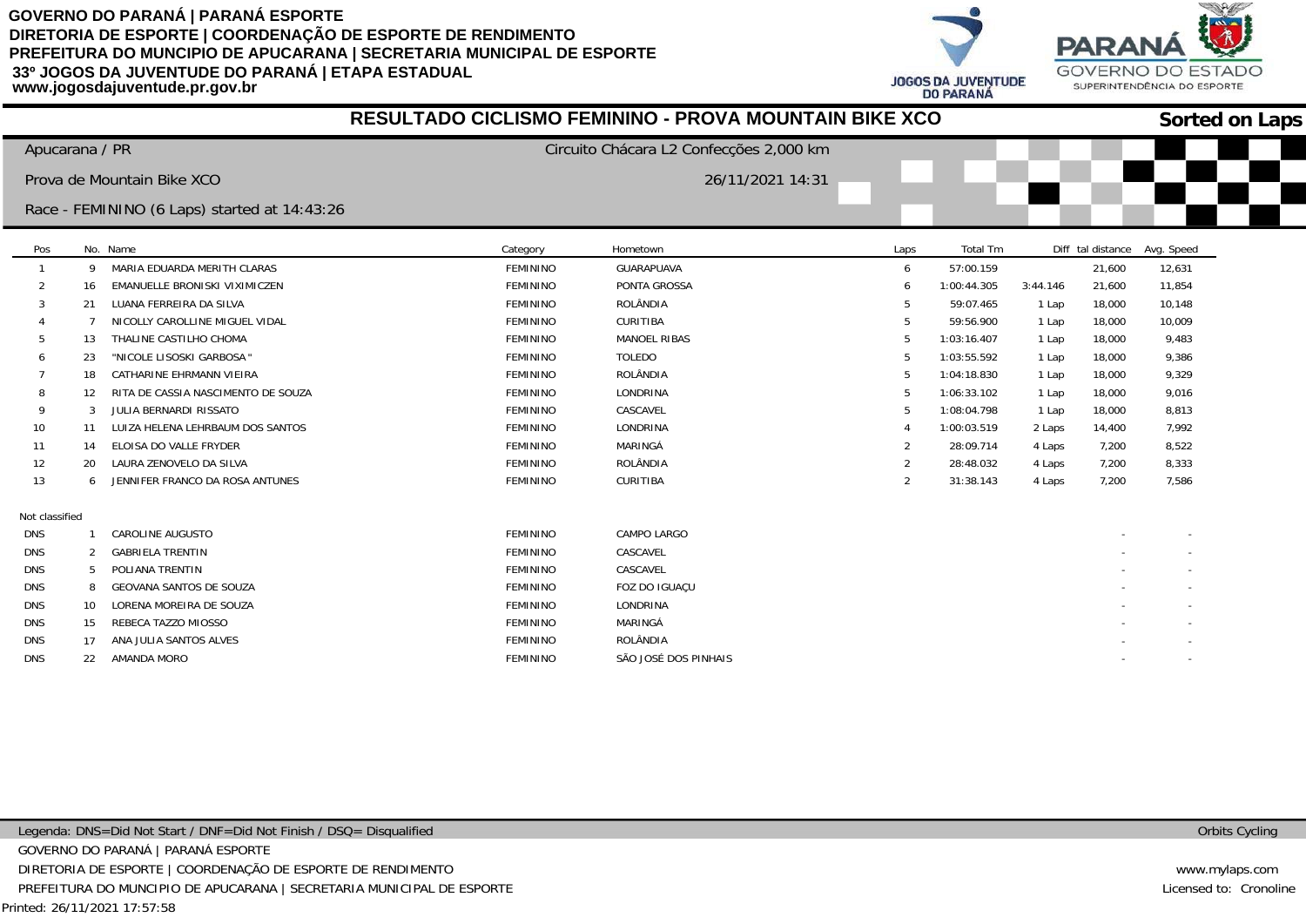**PARA JOGOS DA JUVENTUDE DO PARANÁ** 



|                |                |                                              |                 | <b>RESULTADO CICLISMO FEMININO - PROVA MOUNTAIN BIKE XCO</b> |                |             |          |                   |            | <b>Sorted on Laps</b> |
|----------------|----------------|----------------------------------------------|-----------------|--------------------------------------------------------------|----------------|-------------|----------|-------------------|------------|-----------------------|
|                | Apucarana / PR |                                              |                 | Circuito Chácara L2 Confecções 2,000 km                      |                |             |          |                   |            |                       |
|                |                | Prova de Mountain Bike XCO                   |                 | 26/11/2021 14:31                                             |                |             |          |                   |            |                       |
|                |                | Race - FEMININO (6 Laps) started at 14:43:26 |                 |                                                              |                |             |          |                   |            |                       |
| Pos            |                | No. Name                                     | Category        | Hometown                                                     | Laps           | Total Tm    |          | Diff tal distance | Avg. Speed |                       |
|                | 9              | MARIA EDUARDA MERITH CLARAS                  | FEMININO        | GUARAPUAVA                                                   | 6              | 57:00.159   |          | 21,600            | 12,631     |                       |
|                | 16             | EMANUELLE BRONISKI VIXIMICZEN                | <b>FEMININO</b> | PONTA GROSSA                                                 | -6             | 1:00:44.305 | 3:44.146 | 21,600            | 11,854     |                       |
|                | 21             | LUANA FERREIRA DA SILVA                      | <b>FEMININO</b> | ROLÂNDIA                                                     |                | 59:07.465   | 1 Lap    | 18,000            | 10,148     |                       |
|                |                | NICOLLY CAROLLINE MIGUEL VIDAL               | <b>FEMININO</b> | <b>CURITIBA</b>                                              |                | 59:56.900   | 1 Lap    | 18,000            | 10,009     |                       |
|                | 13             | THALINE CASTILHO CHOMA                       | <b>FEMININO</b> | <b>MANOEL RIBAS</b>                                          |                | 1:03:16.407 | 1 Lap    | 18,000            | 9,483      |                       |
|                | 23             | "NICOLE LISOSKI GARBOSA'                     | FEMININO        | <b>TOLEDO</b>                                                |                | 1:03:55.592 | 1 Lap    | 18,000            | 9,386      |                       |
|                | 18             | CATHARINE EHRMANN VIEIRA                     | FEMININO        | ROLÂNDIA                                                     |                | 1:04:18.830 | 1 Lap    | 18,000            | 9,329      |                       |
|                | 12             | RITA DE CASSIA NASCIMENTO DE SOUZA           | <b>FEMININO</b> | LONDRINA                                                     |                | 1:06:33.102 | 1 Lap    | 18,000            | 9,016      |                       |
| -9             | 3              | JULIA BERNARDI RISSATO                       | <b>FEMININO</b> | CASCAVEL                                                     |                | 1:08:04.798 | 1 Lap    | 18,000            | 8,813      |                       |
| 10             | 11             | LUIZA HELENA LEHRBAUM DOS SANTOS             | <b>FEMININO</b> | LONDRINA                                                     |                | 1:00:03.519 | 2 Laps   | 14,400            | 7,992      |                       |
| 11             | 14             | ELOISA DO VALLE FRYDER                       | <b>FEMININO</b> | MARINGÁ                                                      | $\overline{2}$ | 28:09.714   | 4 Laps   | 7,200             | 8,522      |                       |
| 12             | 20             | LAURA ZENOVELO DA SILVA                      | <b>FEMININO</b> | ROLÂNDIA                                                     | 2              | 28:48.032   | 4 Laps   | 7,200             | 8,333      |                       |
| 13             | 6              | JENNIFER FRANCO DA ROSA ANTUNES              | <b>FEMININO</b> | <b>CURITIBA</b>                                              | 2              | 31:38.143   | 4 Laps   | 7,200             | 7,586      |                       |
| Not classified |                |                                              |                 |                                                              |                |             |          |                   |            |                       |
| <b>DNS</b>     |                | CAROLINE AUGUSTO                             | <b>FEMININO</b> | CAMPO LARGO                                                  |                |             |          |                   |            |                       |
| <b>DNS</b>     | 2              | <b>GABRIELA TRENTIN</b>                      | <b>FEMININO</b> | CASCAVEL                                                     |                |             |          |                   |            |                       |
| <b>DNS</b>     | 5              | POLIANA TRENTIN                              | <b>FEMININO</b> | CASCAVEL                                                     |                |             |          |                   |            |                       |
| <b>DNS</b>     | 8              | <b>GEOVANA SANTOS DE SOUZA</b>               | <b>FEMININO</b> | FOZ DO IGUAÇU                                                |                |             |          |                   |            |                       |
| <b>DNS</b>     | 10             | LORENA MOREIRA DE SOUZA                      | <b>FEMININO</b> | LONDRINA                                                     |                |             |          |                   |            |                       |
| <b>DNS</b>     | 15             | REBECA TAZZO MIOSSO                          | <b>FEMININO</b> | MARINGÁ                                                      |                |             |          |                   |            |                       |
| <b>DNS</b>     | 17             | ANA JULIA SANTOS ALVES                       | <b>FEMININO</b> | ROLÂNDIA                                                     |                |             |          |                   |            |                       |
| DNS.           | 22             | AMANDA MORO                                  | <b>FFMININO</b> | SÃO JOSÉ DOS PINHAIS                                         |                |             |          |                   |            |                       |

Orbits Cycling

www.mylaps.com Licensed to: Cronoline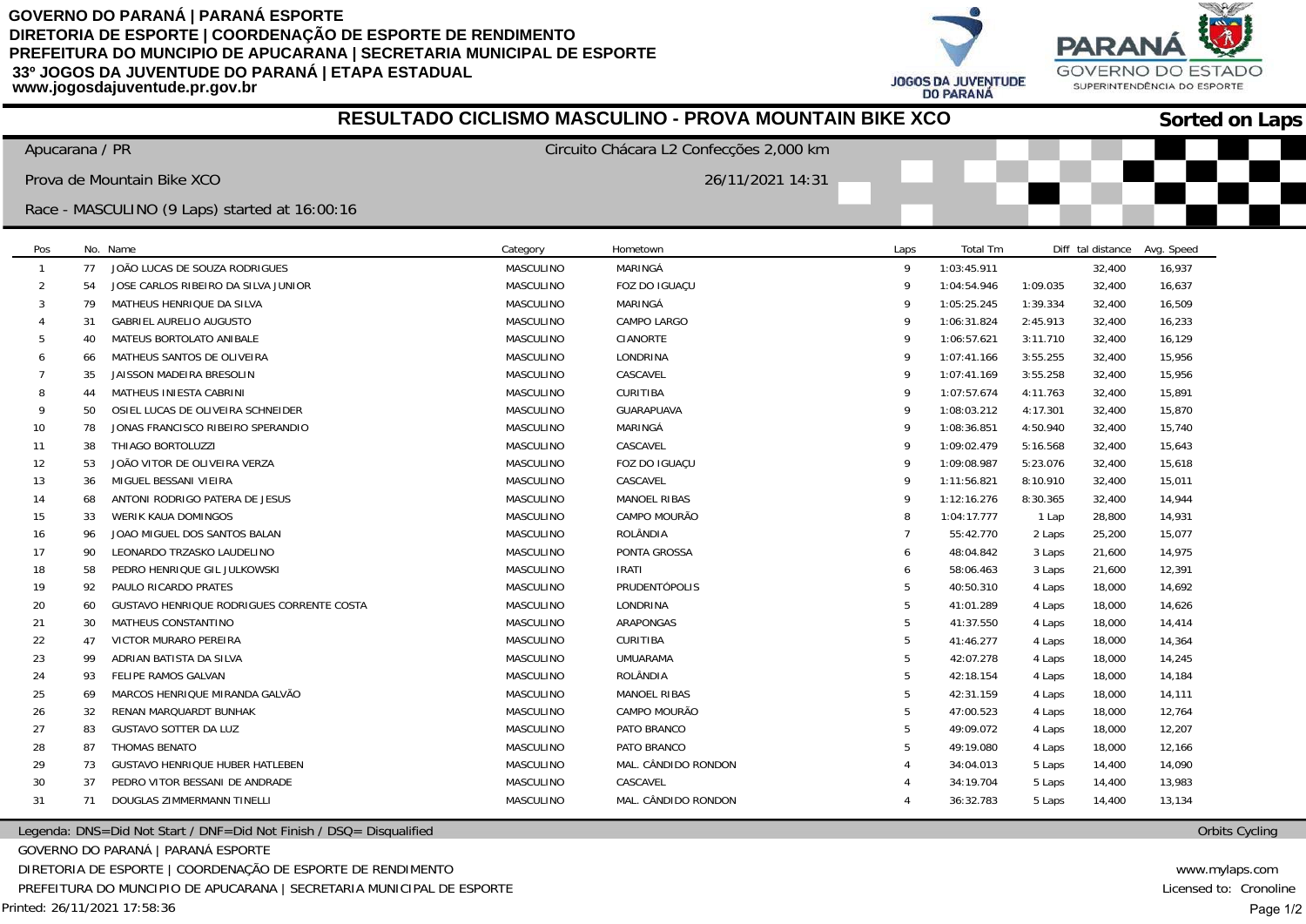



| RESULTADO CICLISMO MASCULINO - PROVA MOUNTAIN BIKE XCO |    |                                               |                  |                                         |                |                 |          | <b>Sorted on Laps</b> |            |  |
|--------------------------------------------------------|----|-----------------------------------------------|------------------|-----------------------------------------|----------------|-----------------|----------|-----------------------|------------|--|
| Apucarana / PR                                         |    |                                               |                  | Circuito Chácara L2 Confecções 2,000 km |                |                 |          |                       |            |  |
|                                                        |    | Prova de Mountain Bike XCO                    |                  | 26/11/2021 14:31                        |                |                 |          |                       |            |  |
|                                                        |    | Race - MASCULINO (9 Laps) started at 16:00:16 |                  |                                         |                |                 |          |                       |            |  |
|                                                        |    |                                               |                  |                                         |                |                 |          |                       |            |  |
| Pos                                                    |    | No. Name                                      | Category         | Hometown                                | Laps           | <b>Total Tm</b> |          | Diff tal distance     | Avg. Speed |  |
| $\mathbf{1}$                                           | 77 | JOÃO LUCAS DE SOUZA RODRIGUES                 | MASCULINO        | MARINGÁ                                 | 9              | 1:03:45.911     |          | 32,400                | 16,937     |  |
| 2                                                      | 54 | JOSE CARLOS RIBEIRO DA SILVA JUNIOR           | MASCULINO        | FOZ DO IGUAÇU                           | 9              | 1:04:54.946     | 1:09.035 | 32,400                | 16,637     |  |
| 3                                                      | 79 | MATHEUS HENRIQUE DA SILVA                     | MASCULINO        | MARINGÁ                                 | 9              | 1:05:25.245     | 1:39.334 | 32,400                | 16,509     |  |
|                                                        | 31 | <b>GABRIEL AURELIO AUGUSTO</b>                | MASCULINO        | CAMPO LARGO                             | 9              | 1:06:31.824     | 2:45.913 | 32,400                | 16,233     |  |
|                                                        | 40 | MATEUS BORTOLATO ANIBALE                      | MASCULINO        | CIANORTE                                | 9              | 1:06:57.621     | 3:11.710 | 32,400                | 16,129     |  |
|                                                        | 66 | MATHEUS SANTOS DE OLIVEIRA                    | MASCULINO        | LONDRINA                                | 9              | 1:07:41.166     | 3:55.255 | 32,400                | 15,956     |  |
|                                                        | 35 | JAISSON MADEIRA BRESOLIN                      | MASCULINO        | CASCAVEL                                | 9              | 1:07:41.169     | 3:55.258 | 32,400                | 15,956     |  |
| 8                                                      | 44 | MATHEUS INIESTA CABRINI                       | MASCULINO        | CURITIBA                                | 9              | 1:07:57.674     | 4:11.763 | 32,400                | 15,891     |  |
| q                                                      | 50 | OSIEL LUCAS DE OLIVEIRA SCHNEIDER             | <b>MASCULINO</b> | <b>GUARAPUAVA</b>                       | 9              | 1:08:03.212     | 4:17.301 | 32,400                | 15,870     |  |
| 10                                                     | 78 | JONAS FRANCISCO RIBEIRO SPERANDIO             | MASCULINO        | MARINGÁ                                 | 9              | 1:08:36.851     | 4:50.940 | 32,400                | 15,740     |  |
| 11                                                     | 38 | THIAGO BORTOLUZZI                             | MASCULINO        | CASCAVEL                                | 9              | 1:09:02.479     | 5:16.568 | 32,400                | 15,643     |  |
| 12                                                     | 53 | JOÃO VITOR DE OLIVEIRA VERZA                  | MASCULINO        | FOZ DO IGUAÇU                           | 9              | 1:09:08.987     | 5:23.076 | 32,400                | 15,618     |  |
| 13                                                     | 36 | MIGUEL BESSANI VIEIRA                         | MASCULINO        | CASCAVEL                                | 9              | 1:11:56.821     | 8:10.910 | 32,400                | 15,011     |  |
| 14                                                     | 68 | ANTONI RODRIGO PATERA DE JESUS                | <b>MASCULINO</b> | <b>MANOEL RIBAS</b>                     | 9              | 1:12:16.276     | 8:30.365 | 32,400                | 14,944     |  |
| 15                                                     | 33 | WERIK KAUA DOMINGOS                           | MASCULINO        | CAMPO MOURÃO                            | 8              | 1:04:17.777     | 1 Lap    | 28,800                | 14,931     |  |
| 16                                                     | 96 | JOAO MIGUEL DOS SANTOS BALAN                  | MASCULINO        | ROLÂNDIA                                | $\overline{7}$ | 55:42.770       | 2 Laps   | 25,200                | 15,077     |  |
| 17                                                     | 90 | LEONARDO TRZASKO LAUDELINO                    | MASCULINO        | PONTA GROSSA                            | 6              | 48:04.842       | 3 Laps   | 21,600                | 14,975     |  |
| 18                                                     | 58 | PEDRO HENRIQUE GIL JULKOWSKI                  | <b>MASCULINO</b> | <b>IRATI</b>                            | 6              | 58:06.463       | 3 Laps   | 21,600                | 12,391     |  |
| 19                                                     | 92 | PAULO RICARDO PRATES                          | MASCULINO        | PRUDENTÓPOLIS                           | 5              | 40:50.310       | 4 Laps   | 18,000                | 14,692     |  |
| 20                                                     | 60 | GUSTAVO HENRIQUE RODRIGUES CORRENTE COSTA     | MASCULINO        | LONDRINA                                | 5              | 41:01.289       | 4 Laps   | 18,000                | 14,626     |  |
| 21                                                     | 30 | MATHEUS CONSTANTINO                           | MASCULINO        | ARAPONGAS                               | 5              | 41:37.550       | 4 Laps   | 18,000                | 14,414     |  |
| 22                                                     | 47 | VICTOR MURARO PEREIRA                         | MASCULINO        | CURITIBA                                | 5              | 41:46.277       | 4 Laps   | 18,000                | 14,364     |  |
| 23                                                     | 99 | ADRIAN BATISTA DA SILVA                       | MASCULINO        | <b>UMUARAMA</b>                         | 5              | 42:07.278       | 4 Laps   | 18,000                | 14,245     |  |
| 24                                                     | 93 | FELIPE RAMOS GALVAN                           | MASCULINO        | ROLÂNDIA                                | 5              | 42:18.154       | 4 Laps   | 18,000                | 14,184     |  |
| 25                                                     | 69 | MARCOS HENRIQUE MIRANDA GALVÃO                | MASCULINO        | <b>MANOEL RIBAS</b>                     | 5              | 42:31.159       | 4 Laps   | 18,000                | 14,111     |  |
| 26                                                     | 32 | RENAN MARQUARDT BUNHAK                        | MASCULINO        | CAMPO MOURÃO                            | 5              | 47:00.523       | 4 Laps   | 18,000                | 12,764     |  |
| 27                                                     | 83 | <b>GUSTAVO SOTTER DA LUZ</b>                  | <b>MASCULINO</b> | PATO BRANCO                             | 5              | 49:09.072       | 4 Laps   | 18,000                | 12,207     |  |
| 28                                                     | 87 | THOMAS BENATO                                 | MASCULINO        | PATO BRANCO                             | 5              | 49:19.080       | 4 Laps   | 18,000                | 12,166     |  |
| 29                                                     | 73 | GUSTAVO HENRIQUE HUBER HATLEBEN               | MASCULINO        | MAL. CÂNDIDO RONDON                     |                | 34:04.013       | 5 Laps   | 14,400                | 14,090     |  |
| 30                                                     | 37 | PEDRO VITOR BESSANI DE ANDRADE                | MASCULINO        | CASCAVEL                                | Δ              | 34:19.704       | 5 Laps   | 14,400                | 13,983     |  |
| 31                                                     | 71 | DOUGLAS ZIMMERMANN TINELLI                    | MASCULINO        | MAL. CÂNDIDO RONDON                     | $\Delta$       | 36:32.783       | 5 Laps   | 14,400                | 13,134     |  |
|                                                        |    |                                               |                  |                                         |                |                 |          |                       |            |  |

**RESULTADO CICLISMO MASCULINO - PROVA MOUNTAIN BIKE XCO**

Legenda: DNS=Did Not Start / DNF=Did Not Finish / DSQ= Disqualified

GOVERNO DO PARANÁ | PARANÁ ESPORTE

DIRETORIA DE ESPORTE | COORDENAÇÃO DE ESPORTE DE RENDIMENTO

PREFEITURA DO MUNCIPIO DE APUCARANA | SECRETARIA MUNICIPAL DE ESPORTE

Printed: 26/11/2021 17:58:36

www.mylaps.com Licensed to: Cronoline Page 1/2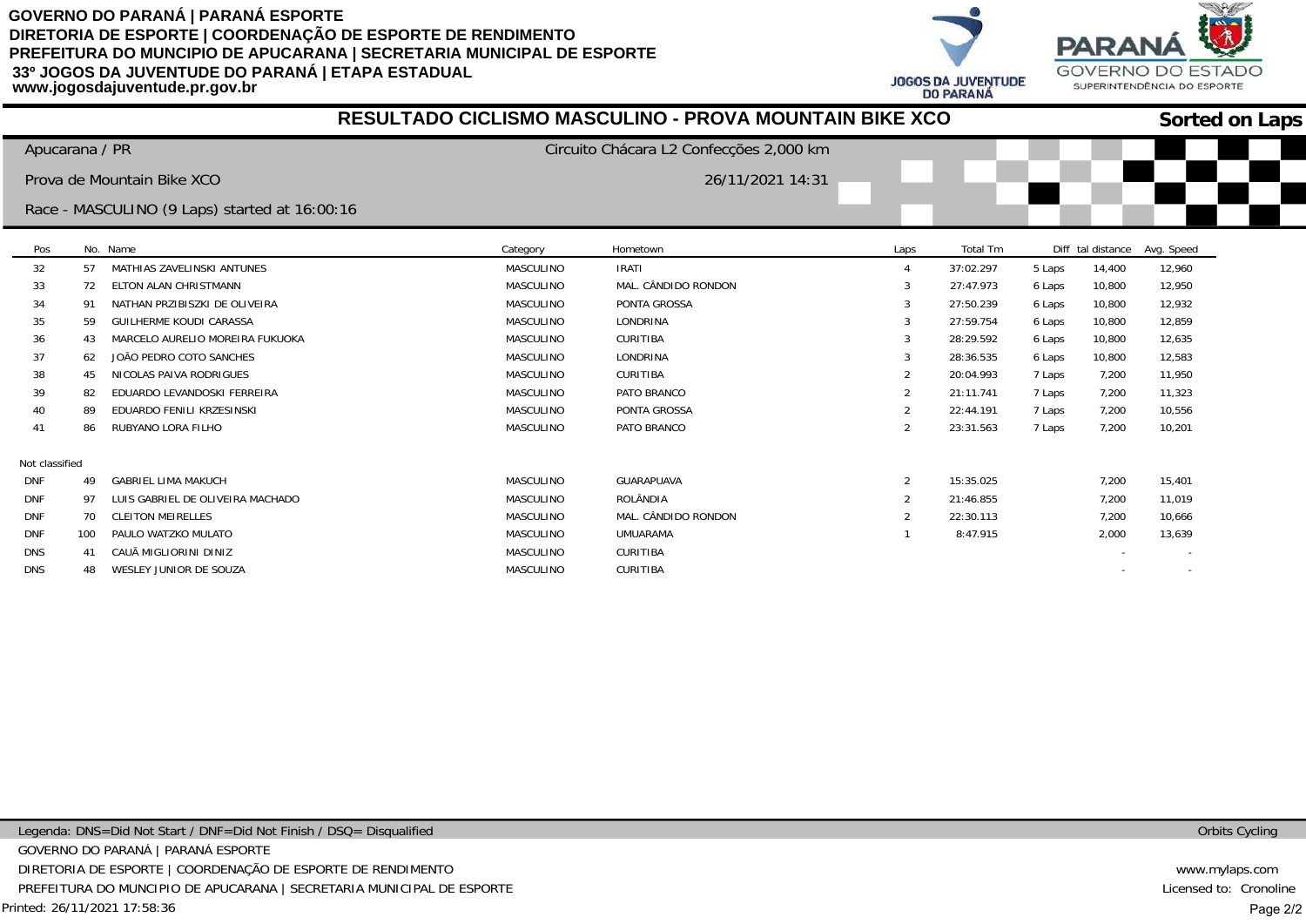**PARA JOGOS DA JUVENTUDE DO PARANÁ** 



|                |     |                                               |                  | RESULTADO CICLISMO MASCULINO - PROVA MOUNTAIN BIKE XCO |                |           |        |        |                              | <b>Sorted on Laps</b> |
|----------------|-----|-----------------------------------------------|------------------|--------------------------------------------------------|----------------|-----------|--------|--------|------------------------------|-----------------------|
| Apucarana / PR |     |                                               |                  | Circuito Chácara L2 Confecções 2,000 km                |                |           |        |        |                              |                       |
|                |     | Prova de Mountain Bike XCO                    |                  | 26/11/2021 14:31                                       |                |           |        |        |                              |                       |
|                |     |                                               |                  |                                                        |                |           |        |        |                              |                       |
|                |     | Race - MASCULINO (9 Laps) started at 16:00:16 |                  |                                                        |                |           |        |        |                              |                       |
| Pos            |     | No. Name                                      | Category         | Hometown                                               | Laps           | Total Tm  |        |        | Diff tal distance Avg. Speed |                       |
| 32             | 57  | MATHIAS ZAVELINSKI ANTUNES                    | <b>MASCULINO</b> | <b>IRATI</b>                                           |                | 37:02.297 | 5 Laps | 14,400 | 12,960                       |                       |
| 33             | 72  | ELTON ALAN CHRISTMANN                         | MASCULINO        | MAL. CÂNDIDO RONDON                                    |                | 27:47.973 | 6 Laps | 10,800 | 12,950                       |                       |
| 34             | -91 | NATHAN PRZIBISZKI DE OLIVEIRA                 | <b>MASCULINO</b> | PONTA GROSSA                                           | 3              | 27:50.239 | 6 Laps | 10,800 | 12,932                       |                       |
| 35             | 59  | <b>GUILHERME KOUDI CARASSA</b>                | <b>MASCULINO</b> | LONDRINA                                               |                | 27:59.754 | 6 Laps | 10,800 | 12,859                       |                       |
| 36             | 43  | MARCELO AURELIO MOREIRA FUKUOKA               | <b>MASCULINO</b> | CURITIBA                                               |                | 28:29.592 | 6 Laps | 10,800 | 12,635                       |                       |
| 37             | 62  | JOÃO PEDRO COTO SANCHES                       | <b>MASCULINO</b> | LONDRINA                                               |                | 28:36.535 | 6 Laps | 10,800 | 12,583                       |                       |
| 38             | 45  | NICOLAS PAIVA RODRIGUES                       | <b>MASCULINO</b> | CURITIBA                                               |                | 20:04.993 | 7 Laps | 7,200  | 11,950                       |                       |
| 39             | 82  | EDUARDO LEVANDOSKI FERREIRA                   | MASCULINO        | PATO BRANCO                                            | 2              | 21:11.741 | 7 Laps | 7,200  | 11,323                       |                       |
| 40             | 89  | EDUARDO FENILI KRZESINSKI                     | MASCULINO        | PONTA GROSSA                                           | $\overline{2}$ | 22:44.191 | 7 Laps | 7,200  | 10,556                       |                       |
| 41             | 86  | RUBYANO LORA FILHO                            | MASCULINO        | PATO BRANCO                                            | $\overline{2}$ | 23:31.563 | 7 Laps | 7,200  | 10,201                       |                       |
| Not classified |     |                                               |                  |                                                        |                |           |        |        |                              |                       |
| <b>DNF</b>     | 49  | <b>GABRIEL LIMA MAKUCH</b>                    | <b>MASCULINO</b> | GUARAPUAVA                                             | 2              | 15:35.025 |        | 7,200  | 15,401                       |                       |
| <b>DNF</b>     | 97  | LUIS GABRIEL DE OLIVEIRA MACHADO              | MASCULINO        | ROLÂNDIA                                               |                | 21:46.855 |        | 7,200  | 11,019                       |                       |
| <b>DNF</b>     | 70  | <b>CLEITON MEIRELLES</b>                      | <b>MASCULINO</b> | MAL. CÂNDIDO RONDON                                    | 2              | 22:30.113 |        | 7,200  | 10,666                       |                       |
| <b>DNF</b>     | 100 | PAULO WATZKO MULATO                           | MASCULINO        | UMUARAMA                                               |                | 8:47.915  |        | 2,000  | 13,639                       |                       |
| <b>DNS</b>     | 41  | CAUÃ MIGLIORINI DINIZ                         | MASCULINO        | CURITIBA                                               |                |           |        |        |                              |                       |
| DNS.           | 48  | WESLEY JUNIOR DE SOUZA                        | <b>MASCULINO</b> | <b>CURITIBA</b>                                        |                |           |        |        |                              |                       |

Printed: 26/11/2021 17:58:36 Legenda: DNS=Did Not Start / DNF=Did Not Finish / DSQ= Disqualified GOVERNO DO PARANÁ | PARANÁ ESPORTE DIRETORIA DE ESPORTE | COORDENAÇÃO DE ESPORTE DE RENDIMENTO PREFEITURA DO MUNCIPIO DE APUCARANA | SECRETARIA MUNICIPAL DE ESPORTE Orbits Cycling

www.mylaps.com Licensed to: Cronoline Page 2/2